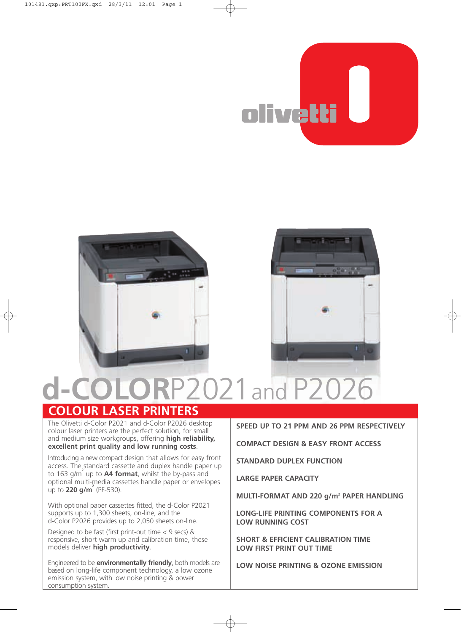





## **d-COLOR**P2021and P2026 **COLOUR LASER PRINTERS**

## The Olivetti d-Color P2021 and d-Color P2026 desktop

colour laser printers are the perfect solution, for small and medium size workgroups, offering **high reliability, excellent print quality and low running costs**.

Introducing a new compact design that allows for easy front access. The standard cassette and duplex handle paper up to 163 g/m<sup>2</sup> up to **A4 format**, whilst the by-pass and optional multi-media cassettes handle paper or envelopes up to **220 g/m<sup>2</sup>** (PF-530).

With optional paper cassettes fitted, the d-Color P2021 supports up to 1,300 sheets, on-line, and the d-Color P2026 provides up to 2,050 sheets on-line.

Designed to be fast (first print-out time  $<$  9 secs) & responsive, short warm up and calibration time, these models deliver **high productivity**.

Engineered to be **environmentally friendly**, both models are based on long-life component technology, a low ozone emission system, with low noise printing & power consumption system.

## **SPEED UP TO 21 PPM AND 26 PPM RESPECTIVELY**

**COMPACT DESIGN & EASY FRONT ACCESS**

**STANDARD DUPLEX FUNCTION**

**LARGE PAPER CAPACITY**

**MULTI-FORMAT AND 220 g/m<sup>2</sup> PAPER HANDLING** 

**LONGLIFE PRINTING COMPONENTS FOR A LOW RUNNING COST**

**SHORT & EFFICIENT CALIBRATION TIME LOW FIRST PRINT OUT TIME**

**LOW NOISE PRINTING & OZONE EMISSION**